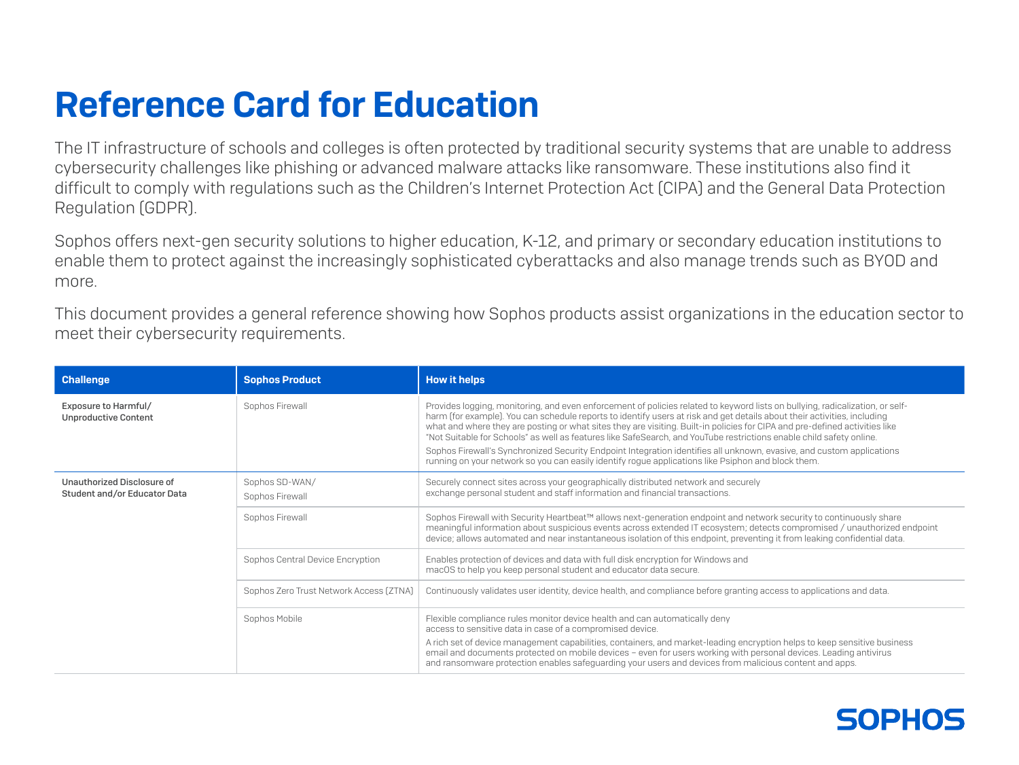## Reference Card for Education

The IT infrastructure of schools and colleges is often protected by traditional security systems that are unable to address cybersecurity challenges like phishing or advanced malware attacks like ransomware. These institutions also find it difficult to comply with regulations such as the Children's Internet Protection Act (CIPA) and the General Data Protection Regulation (GDPR).

Sophos offers next-gen security solutions to higher education, K-12, and primary or secondary education institutions to enable them to protect against the increasingly sophisticated cyberattacks and also manage trends such as BYOD and more.

This document provides a general reference showing how Sophos products assist organizations in the education sector to meet their cybersecurity requirements.

| <b>Challenge</b>                                           | <b>Sophos Product</b>                   | <b>How it helps</b>                                                                                                                                                                                                                                                                                                                                                                                                                                                                                                                                                                                                                                                                                                                             |
|------------------------------------------------------------|-----------------------------------------|-------------------------------------------------------------------------------------------------------------------------------------------------------------------------------------------------------------------------------------------------------------------------------------------------------------------------------------------------------------------------------------------------------------------------------------------------------------------------------------------------------------------------------------------------------------------------------------------------------------------------------------------------------------------------------------------------------------------------------------------------|
| Exposure to Harmful/<br><b>Unproductive Content</b>        | Sophos Firewall                         | Provides logging, monitoring, and even enforcement of policies related to keyword lists on bullying, radicalization, or self-<br>harm (for example). You can schedule reports to identify users at risk and get details about their activities, including<br>what and where they are posting or what sites they are visiting. Built-in policies for CIPA and pre-defined activities like<br>"Not Suitable for Schools" as well as features like SafeSearch, and YouTube restrictions enable child safety online.<br>Sophos Firewall's Synchronized Security Endpoint Integration identifies all unknown, evasive, and custom applications<br>running on your network so you can easily identify rogue applications like Psiphon and block them. |
| Unauthorized Disclosure of<br>Student and/or Educator Data | Sophos SD-WAN/<br>Sophos Firewall       | Securely connect sites across your geographically distributed network and securely<br>exchange personal student and staff information and financial transactions.                                                                                                                                                                                                                                                                                                                                                                                                                                                                                                                                                                               |
|                                                            | Sophos Firewall                         | Sophos Firewall with Security Heartbeat™ allows next-generation endpoint and network security to continuously share<br>meaningful information about suspicious events across extended IT ecosystem; detects compromised / unauthorized endpoint<br>device; allows automated and near instantaneous isolation of this endpoint, preventing it from leaking confidential data.                                                                                                                                                                                                                                                                                                                                                                    |
|                                                            | Sophos Central Device Encryption        | Enables protection of devices and data with full disk encryption for Windows and<br>macOS to help you keep personal student and educator data secure.                                                                                                                                                                                                                                                                                                                                                                                                                                                                                                                                                                                           |
|                                                            | Sophos Zero Trust Network Access (ZTNA) | Continuously validates user identity, device health, and compliance before granting access to applications and data.                                                                                                                                                                                                                                                                                                                                                                                                                                                                                                                                                                                                                            |
|                                                            | Sophos Mobile                           | Flexible compliance rules monitor device health and can automatically deny<br>access to sensitive data in case of a compromised device.                                                                                                                                                                                                                                                                                                                                                                                                                                                                                                                                                                                                         |
|                                                            |                                         | A rich set of device management capabilities, containers, and market-leading encryption helps to keep sensitive business<br>email and documents protected on mobile devices - even for users working with personal devices. Leading antivirus<br>and ransomware protection enables safeguarding your users and devices from malicious content and apps.                                                                                                                                                                                                                                                                                                                                                                                         |

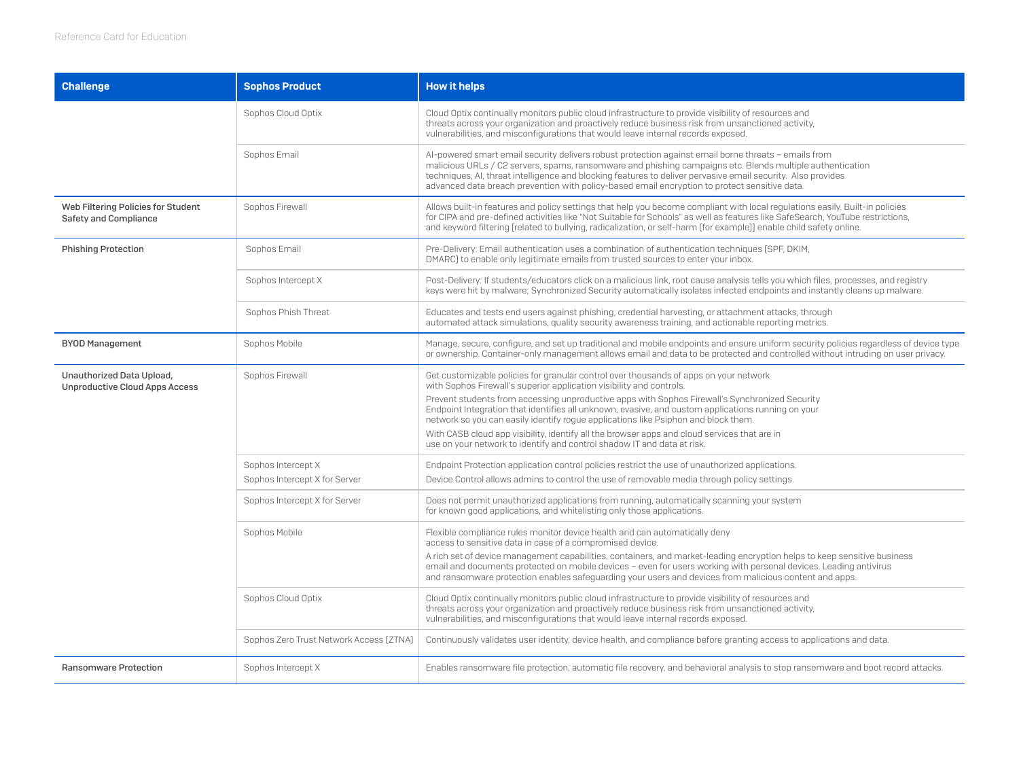| <b>Challenge</b>                                                   | <b>Sophos Product</b>                                          | <b>How it helps</b>                                                                                                                                                                                                                                                                                                                                                                                                                                                                                                                                                                                                                    |
|--------------------------------------------------------------------|----------------------------------------------------------------|----------------------------------------------------------------------------------------------------------------------------------------------------------------------------------------------------------------------------------------------------------------------------------------------------------------------------------------------------------------------------------------------------------------------------------------------------------------------------------------------------------------------------------------------------------------------------------------------------------------------------------------|
|                                                                    | Sophos Cloud Optix                                             | Cloud Optix continually monitors public cloud infrastructure to provide visibility of resources and<br>threats across your organization and proactively reduce business risk from unsanctioned activity,<br>vulnerabilities, and misconfigurations that would leave internal records exposed.                                                                                                                                                                                                                                                                                                                                          |
|                                                                    | Sophos Email                                                   | Al-powered smart email security delivers robust protection against email borne threats - emails from<br>malicious URLs / C2 servers, spams, ransomware and phishing campaigns etc. Blends multiple authentication<br>techniques, AI, threat intelligence and blocking features to deliver pervasive email security. Also provides<br>advanced data breach prevention with policy-based email encryption to protect sensitive data.                                                                                                                                                                                                     |
| Web Filtering Policies for Student<br><b>Safety and Compliance</b> | Sophos Firewall                                                | Allows built-in features and policy settings that help you become compliant with local regulations easily. Built-in policies<br>for CIPA and pre-defined activities like "Not Suitable for Schools" as well as features like SafeSearch, YouTube restrictions,<br>and keyword filtering [related to bullying, radicalization, or self-harm [for example]] enable child safety online.                                                                                                                                                                                                                                                  |
| <b>Phishing Protection</b>                                         | Sophos Email                                                   | Pre-Delivery: Email authentication uses a combination of authentication techniques (SPF, DKIM,<br>DMARC) to enable only legitimate emails from trusted sources to enter your inbox.                                                                                                                                                                                                                                                                                                                                                                                                                                                    |
|                                                                    | Sophos Intercept X                                             | Post-Delivery: If students/educators click on a malicious link, root cause analysis tells you which files, processes, and registry<br>keys were hit by malware; Synchronized Security automatically isolates infected endpoints and instantly cleans up malware.                                                                                                                                                                                                                                                                                                                                                                       |
|                                                                    | Sophos Phish Threat                                            | Educates and tests end users against phishing, credential harvesting, or attachment attacks, through<br>automated attack simulations, quality security awareness training, and actionable reporting metrics.                                                                                                                                                                                                                                                                                                                                                                                                                           |
| <b>BYOD Management</b>                                             | Sophos Mobile                                                  | Manage, secure, configure, and set up traditional and mobile endpoints and ensure uniform security policies regardless of device type<br>or ownership. Container-only management allows email and data to be protected and controlled without intruding on user privacy.                                                                                                                                                                                                                                                                                                                                                               |
| Unauthorized Data Upload,<br><b>Unproductive Cloud Apps Access</b> | Sophos Firewall                                                | Get customizable policies for granular control over thousands of apps on your network<br>with Sophos Firewall's superior application visibility and controls.<br>Prevent students from accessing unproductive apps with Sophos Firewall's Synchronized Security<br>Endpoint Integration that identifies all unknown, evasive, and custom applications running on your<br>network so you can easily identify rogue applications like Psiphon and block them.<br>With CASB cloud app visibility, identify all the browser apps and cloud services that are in<br>use on your network to identify and control shadow IT and data at risk. |
|                                                                    | Sophos Intercept X                                             | Endpoint Protection application control policies restrict the use of unauthorized applications.                                                                                                                                                                                                                                                                                                                                                                                                                                                                                                                                        |
|                                                                    | Sophos Intercept X for Server<br>Sophos Intercept X for Server | Device Control allows admins to control the use of removable media through policy settings.<br>Does not permit unauthorized applications from running, automatically scanning your system<br>for known good applications, and whitelisting only those applications.                                                                                                                                                                                                                                                                                                                                                                    |
|                                                                    | Sophos Mobile                                                  | Flexible compliance rules monitor device health and can automatically deny<br>access to sensitive data in case of a compromised device.                                                                                                                                                                                                                                                                                                                                                                                                                                                                                                |
|                                                                    |                                                                | A rich set of device management capabilities, containers, and market-leading encryption helps to keep sensitive business<br>email and documents protected on mobile devices - even for users working with personal devices. Leading antivirus<br>and ransomware protection enables safeguarding your users and devices from malicious content and apps.                                                                                                                                                                                                                                                                                |
|                                                                    | Sophos Cloud Optix                                             | Cloud Optix continually monitors public cloud infrastructure to provide visibility of resources and<br>threats across your organization and proactively reduce business risk from unsanctioned activity,<br>vulnerabilities, and misconfigurations that would leave internal records exposed.                                                                                                                                                                                                                                                                                                                                          |
|                                                                    | Sophos Zero Trust Network Access [ZTNA]                        | Continuously validates user identity, device health, and compliance before granting access to applications and data.                                                                                                                                                                                                                                                                                                                                                                                                                                                                                                                   |
| <b>Ransomware Protection</b>                                       | Sophos Intercept X                                             | Enables ransomware file protection, automatic file recovery, and behavioral analysis to stop ransomware and boot record attacks.                                                                                                                                                                                                                                                                                                                                                                                                                                                                                                       |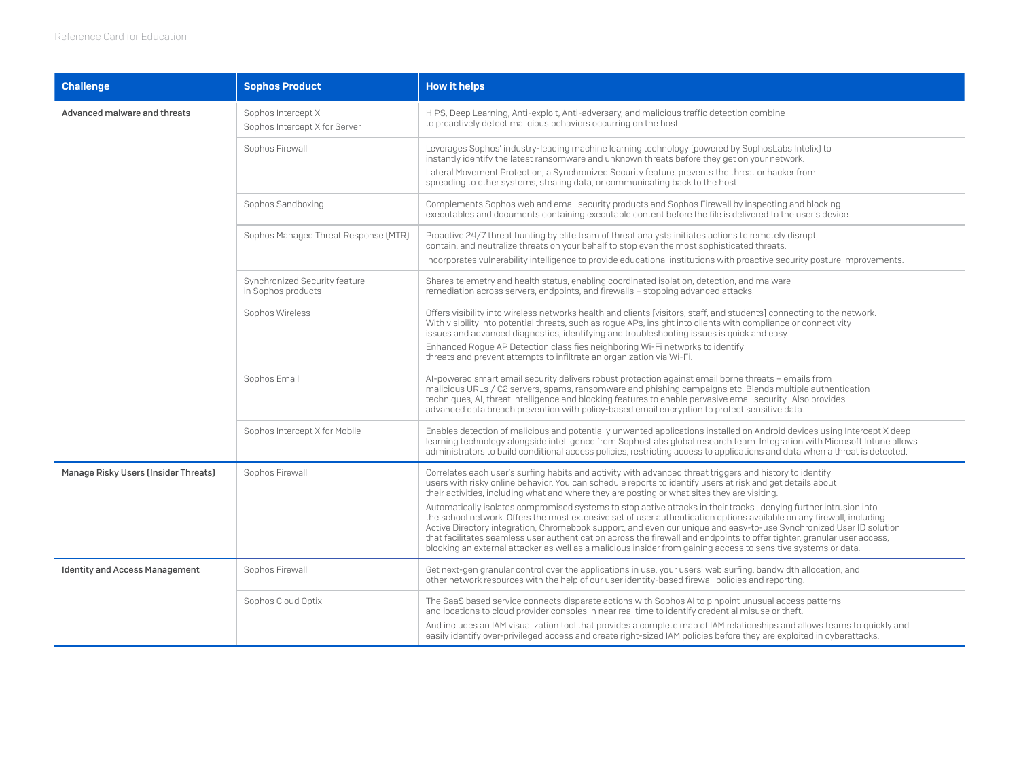| <b>Challenge</b>                      | <b>Sophos Product</b>                               | <b>How it helps</b>                                                                                                                                                                                                                                                                                                                                                                                                                                                                                                                                                                                                                                                                                                                                                                                                                                                                                                                      |
|---------------------------------------|-----------------------------------------------------|------------------------------------------------------------------------------------------------------------------------------------------------------------------------------------------------------------------------------------------------------------------------------------------------------------------------------------------------------------------------------------------------------------------------------------------------------------------------------------------------------------------------------------------------------------------------------------------------------------------------------------------------------------------------------------------------------------------------------------------------------------------------------------------------------------------------------------------------------------------------------------------------------------------------------------------|
| Advanced malware and threats          | Sophos Intercept X<br>Sophos Intercept X for Server | HIPS, Deep Learning, Anti-exploit, Anti-adversary, and malicious traffic detection combine<br>to proactively detect malicious behaviors occurring on the host.                                                                                                                                                                                                                                                                                                                                                                                                                                                                                                                                                                                                                                                                                                                                                                           |
|                                       | Sophos Firewall                                     | Leverages Sophos' industry-leading machine learning technology (powered by SophosLabs Intelix) to<br>instantly identify the latest ransomware and unknown threats before they get on your network.<br>Lateral Movement Protection, a Synchronized Security feature, prevents the threat or hacker from<br>spreading to other systems, stealing data, or communicating back to the host.                                                                                                                                                                                                                                                                                                                                                                                                                                                                                                                                                  |
|                                       | Sophos Sandboxing                                   | Complements Sophos web and email security products and Sophos Firewall by inspecting and blocking<br>executables and documents containing executable content before the file is delivered to the user's device.                                                                                                                                                                                                                                                                                                                                                                                                                                                                                                                                                                                                                                                                                                                          |
|                                       | Sophos Managed Threat Response (MTR)                | Proactive 24/7 threat hunting by elite team of threat analysts initiates actions to remotely disrupt,<br>contain, and neutralize threats on your behalf to stop even the most sophisticated threats.<br>Incorporates vulnerability intelligence to provide educational institutions with proactive security posture improvements.                                                                                                                                                                                                                                                                                                                                                                                                                                                                                                                                                                                                        |
|                                       | Synchronized Security feature<br>in Sophos products | Shares telemetry and health status, enabling coordinated isolation, detection, and malware<br>remediation across servers, endpoints, and firewalls - stopping advanced attacks.                                                                                                                                                                                                                                                                                                                                                                                                                                                                                                                                                                                                                                                                                                                                                          |
|                                       | Sophos Wireless                                     | Offers visibility into wireless networks health and clients [visitors, staff, and students] connecting to the network.<br>With visibility into potential threats, such as rogue APs, insight into clients with compliance or connectivity<br>issues and advanced diagnostics, identifying and troubleshooting issues is quick and easy.<br>Enhanced Roque AP Detection classifies neighboring Wi-Fi networks to identify<br>threats and prevent attempts to infiltrate an organization via Wi-Fi.                                                                                                                                                                                                                                                                                                                                                                                                                                        |
|                                       | Sophos Email                                        | Al-powered smart email security delivers robust protection against email borne threats - emails from<br>malicious URLs / C2 servers, spams, ransomware and phishing campaigns etc. Blends multiple authentication<br>techniques, AI, threat intelligence and blocking features to enable pervasive email security. Also provides<br>advanced data breach prevention with policy-based email encryption to protect sensitive data.                                                                                                                                                                                                                                                                                                                                                                                                                                                                                                        |
|                                       | Sophos Intercept X for Mobile                       | Enables detection of malicious and potentially unwanted applications installed on Android devices using Intercept X deep<br>learning technology alongside intelligence from SophosLabs global research team. Integration with Microsoft Intune allows<br>administrators to build conditional access policies, restricting access to applications and data when a threat is detected.                                                                                                                                                                                                                                                                                                                                                                                                                                                                                                                                                     |
| Manage Risky Users (Insider Threats)  | Sophos Firewall                                     | Correlates each user's surfing habits and activity with advanced threat triggers and history to identify<br>users with risky online behavior. You can schedule reports to identify users at risk and get details about<br>their activities, including what and where they are posting or what sites they are visiting.<br>Automatically isolates compromised systems to stop active attacks in their tracks, denying further intrusion into<br>the school network. Offers the most extensive set of user authentication options available on any firewall, including<br>Active Directory integration, Chromebook support, and even our unique and easy-to-use Synchronized User ID solution<br>that facilitates seamless user authentication across the firewall and endpoints to offer tighter, granular user access,<br>blocking an external attacker as well as a malicious insider from gaining access to sensitive systems or data. |
| <b>Identity and Access Management</b> | Sophos Firewall                                     | Get next-gen granular control over the applications in use, your users' web surfing, bandwidth allocation, and<br>other network resources with the help of our user identity-based firewall policies and reporting.                                                                                                                                                                                                                                                                                                                                                                                                                                                                                                                                                                                                                                                                                                                      |
|                                       | Sophos Cloud Optix                                  | The SaaS based service connects disparate actions with Sophos AI to pinpoint unusual access patterns<br>and locations to cloud provider consoles in near real time to identify credential misuse or theft.<br>And includes an IAM visualization tool that provides a complete map of IAM relationships and allows teams to quickly and<br>easily identify over-privileged access and create right-sized IAM policies before they are exploited in cyberattacks.                                                                                                                                                                                                                                                                                                                                                                                                                                                                          |